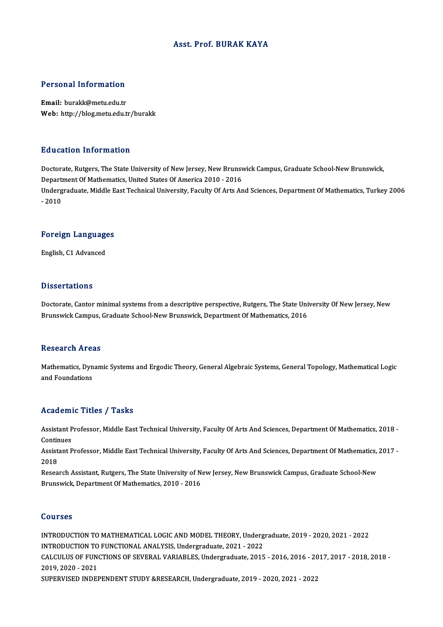### Asst. Prof. BURAK KAYA

### Personal Information

Email: burakk@metu.edu.tr Web: http://blog.metu.edu.tr/burakk

### Education Information

Education Information<br>Doctorate, Rutgers, The State University of New Jersey, New Brunswick Campus, Graduate School-New Brunswick,<br>Department Of Mathematics, United States Of America 2010, 2016 Du d'outroir IIII of Inderoir<br>Doctorate, Rutgers, The State University of New Jersey, New Brunsy<br>Department Of Mathematics, United States Of America 2010 - 2016<br>Undergraduate Middle Fast Technical University, Faculty Of Ar Doctorate, Rutgers, The State University of New Jersey, New Brunswick Campus, Graduate School-New Brunswick,<br>Department Of Mathematics, United States Of America 2010 - 2016<br>Undergraduate, Middle East Technical University, Depart<br>Underg<br>- 2010

## -<sub>2010</sub><br>Foreign Languages F<mark>oreign Languag</mark>e<br>English, C1 Advanced

English, C1 Advanced<br>Dissertations

Dissertations<br>Doctorate, Cantor minimal systems from a descriptive perspective, Rutgers, The State University Of New Jersey, New<br>Rrunswick Campus, Craduate School New Prunswick, Department Of Mathematics, 2016 Broocs cacromo<br>Doctorate, Cantor minimal systems from a descriptive perspective, Rutgers, The State Uni<br>Brunswick Campus, Graduate School-New Brunswick, Department Of Mathematics, 2016 Brunswick Campus, Graduate School-New Brunswick, Department Of Mathematics, 2016<br>Research Areas

Research Areas<br>Mathematics, Dynamic Systems and Ergodic Theory, General Algebraic Systems, General Topology, Mathematical Logic<br>and Foundations Accedit on the C<br>Mathematics, Dyn<br>and Foundations

## and Foundations<br>Academic Titles / Tasks

A**cademic Titles / Tasks**<br>Assistant Professor, Middle East Technical University, Faculty Of Arts And Sciences, Department Of Mathematics, 2018 -<br>Centinues Assistant P<br>Continues<br>Assistant P Assistant Professor, Middle East Technical University, Faculty Of Arts And Sciences, Department Of Mathematics, 2018 -<br>Continues<br>Assistant Professor, Middle East Technical University, Faculty Of Arts And Sciences, Departme

Contin<br>Assist<br>2018<br>Besee Assistant Professor, Middle East Technical University, Faculty Of Arts And Sciences, Department Of Mathematics,<br>2018<br>Research Assistant, Rutgers, The State University of New Jersey, New Brunswick Campus, Graduate School-Ne

2018<br>Research Assistant, Rutgers, The State University of New Jersey, New Brunswick Campus, Graduate School-New<br>Brunswick, Department Of Mathematics, 2010 - 2016

### Courses

Courses<br>INTRODUCTION TO MATHEMATICAL LOGIC AND MODEL THEORY, Undergraduate, 2019 - 2020, 2021 - 2022<br>INTRODUCTION TO EUNCTIONAL ANALYSIS, Undergraduate, 2021, ...2022 UUCTION TO MATHEMATICAL LOGIC AND MODEL THEORY, Underg<br>INTRODUCTION TO FUNCTIONAL ANALYSIS, Undergraduate, 2021 - 2022<br>CALCULUS OF FUNCTIONS OF SEVERAL VARIABLES, Undergraduate, 2015 INTRODUCTION TO MATHEMATICAL LOGIC AND MODEL THEORY, Undergraduate, 2019 - 2020, 2021 - 2022<br>INTRODUCTION TO FUNCTIONAL ANALYSIS, Undergraduate, 2021 - 2022<br>CALCULUS OF FUNCTIONS OF SEVERAL VARIABLES, Undergraduate, 2015 -INTRODUCTION TO<br>CALCULUS OF FUNO<br>2019, 2020 - 2021<br>SUBEDVISED INDEI CALCULUS OF FUNCTIONS OF SEVERAL VARIABLES, Undergraduate, 2015 - 2016, 2016 - 20<br>2019, 2020 - 2021<br>SUPERVISED INDEPENDENT STUDY &RESEARCH, Undergraduate, 2019 - 2020, 2021 - 2022